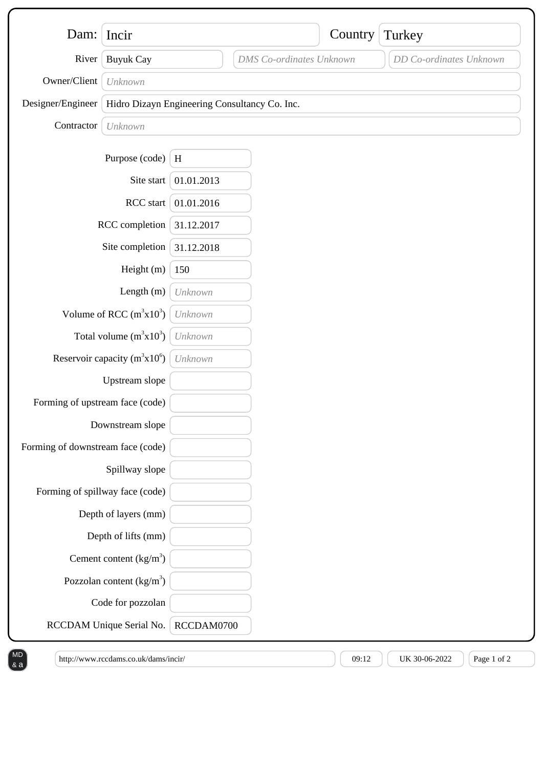| Dam:                              | Incir                                         |            |                                 | Country | Turkey                  |
|-----------------------------------|-----------------------------------------------|------------|---------------------------------|---------|-------------------------|
| River                             | <b>Buyuk Cay</b>                              |            | <b>DMS</b> Co-ordinates Unknown |         | DD Co-ordinates Unknown |
| Owner/Client                      |                                               |            |                                 |         |                         |
| Designer/Engineer                 | Unknown                                       |            |                                 |         |                         |
|                                   | Hidro Dizayn Engineering Consultancy Co. Inc. |            |                                 |         |                         |
| Contractor                        | Unknown                                       |            |                                 |         |                         |
|                                   | Purpose (code)                                | H          |                                 |         |                         |
|                                   | Site start                                    | 01.01.2013 |                                 |         |                         |
| RCC start                         |                                               | 01.01.2016 |                                 |         |                         |
| RCC completion                    |                                               | 31.12.2017 |                                 |         |                         |
| Site completion                   |                                               | 31.12.2018 |                                 |         |                         |
| Height (m)                        |                                               | 150        |                                 |         |                         |
|                                   | Length $(m)$                                  | Unknown    |                                 |         |                         |
| Volume of RCC $(m^3x10^3)$        |                                               | Unknown    |                                 |         |                         |
|                                   | Total volume $(m^3x10^3)$                     | Unknown    |                                 |         |                         |
| Reservoir capacity $(m^3x10^6)$   |                                               | Unknown    |                                 |         |                         |
|                                   | Upstream slope                                |            |                                 |         |                         |
| Forming of upstream face (code)   |                                               |            |                                 |         |                         |
| Downstream slope                  |                                               |            |                                 |         |                         |
| Forming of downstream face (code) |                                               |            |                                 |         |                         |
|                                   | Spillway slope                                |            |                                 |         |                         |
| Forming of spillway face (code)   |                                               |            |                                 |         |                         |
|                                   | Depth of layers (mm)                          |            |                                 |         |                         |
|                                   | Depth of lifts (mm)                           |            |                                 |         |                         |
|                                   | Cement content $(kg/m3)$                      |            |                                 |         |                         |
|                                   | Pozzolan content $\frac{kg}{m^3}$             |            |                                 |         |                         |
|                                   | Code for pozzolan                             |            |                                 |         |                         |
|                                   | RCCDAM Unique Serial No.                      | RCCDAM0700 |                                 |         |                         |

& a